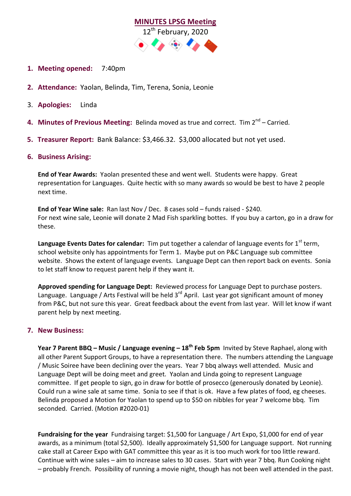

- **1. Meeting opened:** 7:40pm
- **2. Attendance:** Yaolan, Belinda, Tim, Terena, Sonia, Leonie
- 3. **Apologies:** Linda
- **4. Minutes of Previous Meeting:** Belinda moved as true and correct. Tim 2<sup>nd</sup> Carried.
- **5. Treasurer Report:** Bank Balance: \$3,466.32. \$3,000 allocated but not yet used.

## **6. Business Arising:**

**End of Year Awards:** Yaolan presented these and went well. Students were happy. Great representation for Languages. Quite hectic with so many awards so would be best to have 2 people next time.

**End of Year Wine sale:** Ran last Nov / Dec. 8 cases sold – funds raised - \$240. For next wine sale, Leonie will donate 2 Mad Fish sparkling bottes. If you buy a carton, go in a draw for these.

Language Events Dates for calendar: Tim put together a calendar of language events for 1<sup>st</sup> term, school website only has appointments for Term 1. Maybe put on P&C Language sub committee website. Shows the extent of language events. Language Dept can then report back on events. Sonia to let staff know to request parent help if they want it.

**Approved spending for Language Dept:** Reviewed process for Language Dept to purchase posters. Language. Language / Arts Festival will be held 3<sup>rd</sup> April. Last year got significant amount of money from P&C, but not sure this year. Great feedback about the event from last year. Will let know if want parent help by next meeting.

## **7. New Business:**

**Year 7 Parent BBQ – Music / Language evening – 18th Feb 5pm** Invited by Steve Raphael, along with all other Parent Support Groups, to have a representation there. The numbers attending the Language / Music Soiree have been declining over the years. Year 7 bbq always well attended. Music and Language Dept will be doing meet and greet. Yaolan and Linda going to represent Language committee. If get people to sign, go in draw for bottle of prosecco (generously donated by Leonie). Could run a wine sale at same time. Sonia to see if that is ok. Have a few plates of food, eg cheeses. Belinda proposed a Motion for Yaolan to spend up to \$50 on nibbles for year 7 welcome bbq. Tim seconded. Carried. (Motion #2020-01)

**Fundraising for the year** Fundraising target: \$1,500 for Language / Art Expo, \$1,000 for end of year awards, as a minimum (total \$2,500). Ideally approximately \$1,500 for Language support. Not running cake stall at Career Expo with GAT committee this year as it is too much work for too little reward. Continue with wine sales – aim to increase sales to 30 cases. Start with year 7 bbq. Run Cooking night – probably French. Possibility of running a movie night, though has not been well attended in the past.